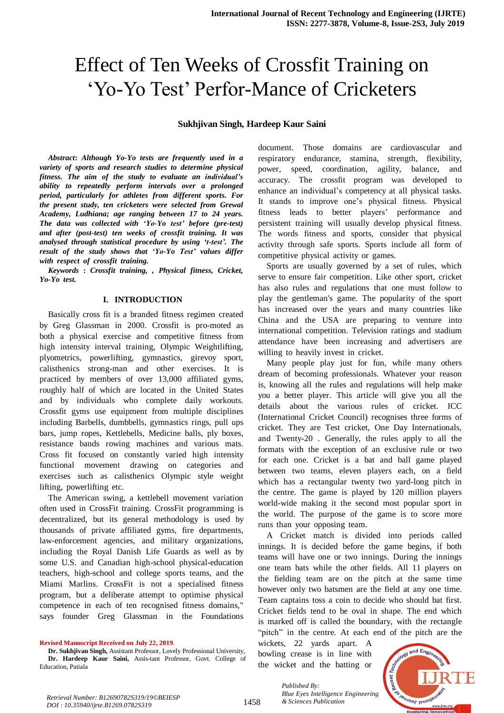# Effect of Ten Weeks of Crossfit Training on 'Yo-Yo Test' Perfor-Mance of Cricketers

# **Sukhjivan Singh, Hardeep Kaur Saini**

*Abstract: Although Yo-Yo tests are frequently used in a variety* of *sports* and *research studies* to *determine physical fitness. The aim of the study to evaluate an individual's ability to repeatedly perform intervals over a prolonged period,* particularly for athletes from different sports. For *thepresent study, tencricketers* were selected *from Grewal Academy, Ludhiana; age ranging between 17 to 24 years. Thedata was collected with 'Yo-Yo test' before* (*pre-test*) *and after* (post-test) ten weeks of crossfit training. It was *analysed through statistical procedure by using 't-test'. The result* of the study shows that 'Yo-Yo Test' values differ *with* respect of crossfit training.

 $Keywords: Crossfit$  *training, , Physical fitness, Cricket, Yo-Yo* test.

#### **I. INTRODUCTION**

Basically cross fit is a branded fitness regimen created by Greg Glassman in 2000. Crossfit is pro-moted as both a physical exercise and competitive fitness from high intensity interval training, Olympic Weightlifting, plyometrics, powerlifting, gymnastics, girevoy sport, calisthenics strong-man and other exercises. It is practiced by members of over 13,000 affiliated gyms, roughly half of which are located in the United States and by individuals who complete daily workouts. Crossfit gyms use equipment from multiple disciplines including Barbells, dumbbells, gymnastics rings, pull ups bars, jump ropes, Kettlebells, Medicine balls, ply boxes, resistance bands rowing machines and various mats. Cross fit focused on constantly varied high intensity functional movement drawing on categories and exercises such as calisthenics Olympic style weight lifting, powerlifting etc.

The American swing, a kettlebell movement variation often used in CrossFit training. CrossFit programming is decentralized, but its general methodology is used by thousands of private affiliated gyms, fire departments, law-enforcement agencies, and military organizations, including the Royal Danish Life Guards as well as by some U.S. and Canadian high-school physical-education teachers, high-school and college sports teams, and the Miami Marlins. CrossFit is not a specialised fitness program, but a deliberate attempt to optimise physical competence in each of ten recognised fitness domains," says founder Greg Glassman in the Foundations

**Revised Manuscript Received on July 22, 2019**.

document. Those domains are cardiovascular and respiratory endurance, stamina, strength, flexibility, power, speed, coordination, agility, balance, and accuracy. The crossfit program was developed to enhance an individual's competency at all physical tasks. It stands to improve one's physical fitness. Physical fitness leads to better players' performance and persistent training will usually develop physical fitness. The words fitness and sports, consider that physical activity through safe sports. Sports include all form of competitive physical activity or games.

Sports are usually governed by a set of rules, which serve to ensure fair competition. Like other sport, cricket has also rules and regulations that one must follow to play the gentleman's game. The popularity of the sport has increased over the years and many countries like China and the USA are preparing to venture into international competition. Television ratings and stadium attendance have been increasing and advertisers are willing to heavily invest in cricket.

Many people play just for fun, while many others dream of becoming professionals. Whatever your reason is, knowing all the rules and regulations will help make you a better player. This article will give you all the details about the various rules of cricket. ICC (International Cricket Council) recognises three forms of cricket. They are Test cricket, One Day Internationals, and Twenty-20. Generally, the rules apply to all the formats with the exception of an exclusive rule or two for each one. Cricket is a bat and ball game played between two teams, eleven players each, on a field which has a rectangular twenty two yard-long pitch in the centre. The game is played by 120 million players world-wide making it the second most popular sport in the world. The purpose of the game is to score more runs than your opposing team.

A Cricket match is divided into periods called innings. It is decided before the game begins, if both teams will have one or two innings. During the innings one team bats while the other fields. All 11 players on the fielding team are on the pitch at the same time however only two batsmen are the field at any one time. Team captains toss a coin to decide who should bat first. Cricket fields tend to be oval in shape. The end which is marked off is called the boundary, with the rectangle "pitch" in the centre. At each end of the pitch are the

wickets, 22 yards apart. A bowling crease is in line with the wicket and the batting or



*Blue Eyes Intelligence*<br>*Retrieval Number: B12690782S319/19©BEIESP*<br>1458 *& Sciences Publication DOI : 10.35940/ijrte.B1269.0782S319*

*Published By: Blue Eyes Intelligence Engineering* 

**Dr. Sukhjivan Singh,** Assistant Professor, Lovely Professional University, **Dr. Hardeep Kaur Saini,** Assis-tant Professor, Govt. College of Education, Patiala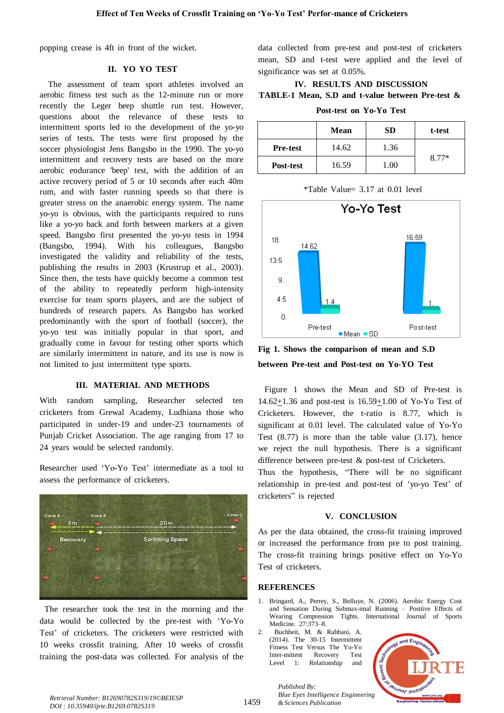popping crease is 4ft in front of the wicket.

### **II. YOTYOTTEST**

The assessment of team sport athletes involved an aerobic fitness test such as the 12-minute run or more recently the Leger beep shuttle run test. However, questions about the relevance of these tests to intermittent sports led to the development of the yo-yo series of tests. The tests were first proposed by the soccer physiologist Jens Bangsbo in the 1990. The yo-yo intermittent and recovery tests are based on the more aerobic endurance 'beep' test, with the addition of an active recovery period of  $5$  or 10 seconds after each 40m rum, and with faster running speeds so that there is greater stress on the anaerobic energy system. The name yo-yo is obvious, with the participants required to runs like a yo-yo back and forth between markers at a given speed. Bangsbo first presented the yo-yo tests in 1994  $(Bangsbo, 1994)$ . With his colleagues, Bangsbo investigated the validity and reliability of the tests, publishing the results in 2003 (Krustrup et al., 2003). Since then, the tests have quickly become a common test of the ability to repeatedly perform high-intensity exercise for team sports players, and are the subject of hundreds of research papers. As Bangsbo has worked predominantly with the sport of football (soccer), the yo-yo test was initially popular in that sport, and gradually come in favour for testing other sports which are similarly intermittent in nature, and its use is now is not limited to just intermittent type sports.

## **III. MATERIAL AND METHODS**

With random sampling, Researcher selected ten cricketers from Grewal Academy, Ludhiana those who participated in under-19 and under-23 tournaments of Punjab Cricket Association. The age ranging from 17 to 24 years would be selected randomly.

Researcher used 'Yo-Yo Test' intermediate as a tool to assess the performance of cricketers.



The researcher took the test in the morning and the data would be collected by the pre-test with 'Yo-Yo Test' of cricketers. The cricketers were restricted with  $10$  weeks crossfit training. After  $10$  weeks of crossfit training the post-data was collected. For analysis of the

data collected from pre-test and post-test of cricketers mean, SD and t-test were applied and the level of significance was set at  $0.05\%$ .

# **IV. RESULTS** AND **DISCUSSION TABLE-1** Mean, S.D and **t-value** between Pre-test &

**Post-test** on Yo-Yo Test

|                 | <b>Mean</b> | <b>SD</b> | t-test  |
|-----------------|-------------|-----------|---------|
| <b>Pre-test</b> | 14.62       | 1.36      | $8.77*$ |
| Post-test       | 16.59       | 1.00      |         |

 $*$ Table Value= 3.17 at 0.01 level



**Fig** 1. Shows the comparison of mean and S.D **between** Pre-test and Post-test on Yo-YO Test

Figure 1 shows the Mean and SD of Pre-test is  $14.62+1.36$  and post-test is  $16.59+1.00$  of Yo-Yo Test of Cricketers. However, the t-ratio is  $8.77$ , which is significant at  $0.01$  level. The calculated value of Yo-Yo Test  $(8.77)$  is more than the table value  $(3.17)$ , hence we reject the null hypothesis. There is a significant difference between pre-test  $\&$  post-test of Cricketers.

Thus the hypothesis, "There will be no significant relationship in pre-test and post-test of 'yo-yo Test' of cricketers" is rejected

# **V. CONCLUSION**

As per the data obtained, the cross-fit training improved or increased the performance from pre to post training. The cross-fit training brings positive effect on Yo-Yo Test of cricketers.

## **REFERENCES**

- 1. Bringard, A., Perrey, S., Belluye, N. (2006). Aerobic Energy Cost and Sensation During Submax-imal Running – Positive Effects of Wearing Compression Tights. International Journal of Sports Medicine. 27:373-8.
- 2. Buchheit, M. & Rabbani, A.  $(2014)$ . The  $30-15$  Intermittent Fitness Test Versus The Yo-Yo Inter-mittent Recovery Test Level 1: Relationship and

*Published By:*



*Bue Eyes Intelligence*<br>Retrieval Number: B12690782S319/19©BEIESP **1459** *Retrieval Number: B12690782S319/19©BEIESP* **1459** *Reserves Publication DOI : 10.35940/ijrte.B1269.0782S319*